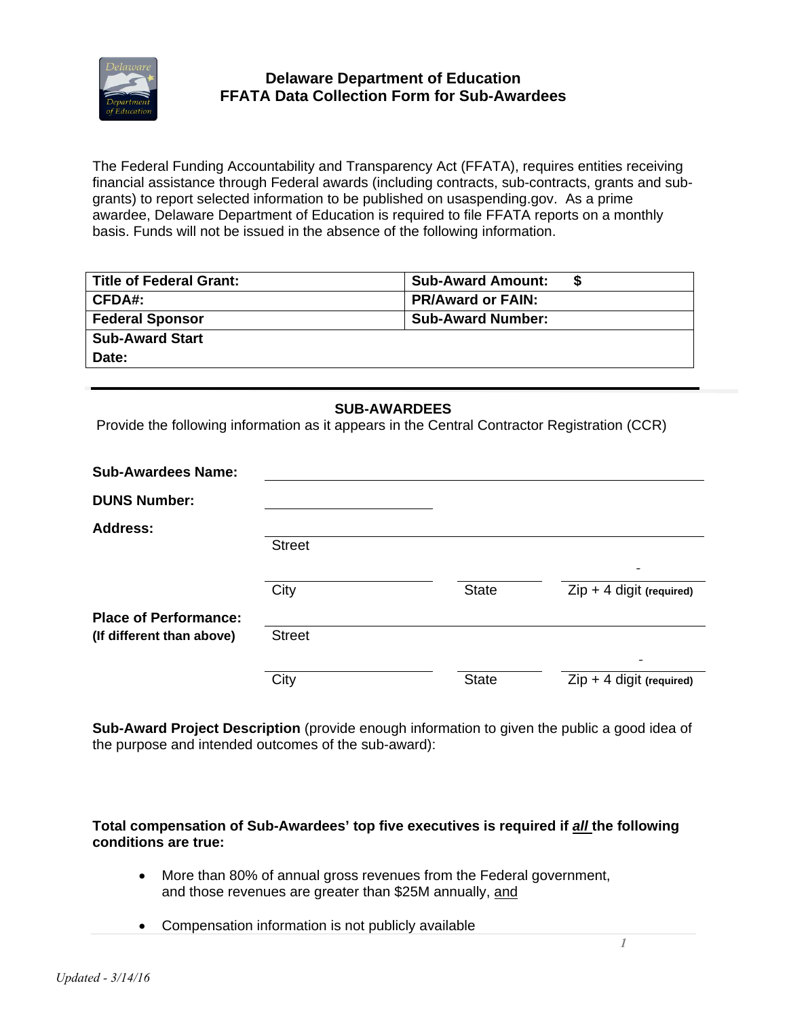

The Federal Funding Accountability and Transparency Act (FFATA), requires entities receiving financial assistance through Federal awards (including contracts, sub-contracts, grants and subgrants) to report selected information to be published on usaspending.gov. As a prime awardee, Delaware Department of Education is required to file FFATA reports on a monthly basis. Funds will not be issued in the absence of the following information.

| <b>Title of Federal Grant:</b> | <b>Sub-Award Amount:</b> |
|--------------------------------|--------------------------|
| CFDA#:                         | <b>PR/Award or FAIN:</b> |
| <b>Federal Sponsor</b>         | <b>Sub-Award Number:</b> |
| <b>Sub-Award Start</b>         |                          |
| Date:                          |                          |

## **SUB-AWARDEES**

Provide the following information as it appears in the Central Contractor Registration (CCR)

| <b>Sub-Awardees Name:</b>    |               |              |                                                        |
|------------------------------|---------------|--------------|--------------------------------------------------------|
| <b>DUNS Number:</b>          |               |              |                                                        |
| <b>Address:</b>              |               |              |                                                        |
|                              | <b>Street</b> |              |                                                        |
|                              | City          | <b>State</b> | $\overline{\phantom{a}}$<br>$Zip + 4$ digit (required) |
| <b>Place of Performance:</b> |               |              |                                                        |
| (If different than above)    | <b>Street</b> |              |                                                        |
|                              |               |              |                                                        |
|                              | City          | <b>State</b> | $Zip + 4$ digit (required)                             |

**Sub-Award Project Description** (provide enough information to given the public a good idea of the purpose and intended outcomes of the sub-award):

**Total compensation of Sub-Awardees' top five executives is required if** *all* **the following conditions are true:** 

- More than 80% of annual gross revenues from the Federal government, and those revenues are greater than \$25M annually, and
- Compensation information is not publicly available